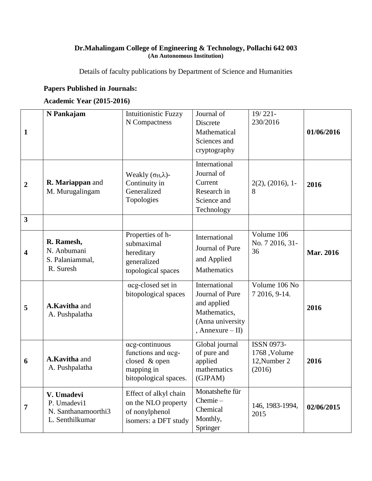## **Dr.Mahalingam College of Engineering & Technology, Pollachi 642 003 (An Autonomous Institution)**

Details of faculty publications by Department of Science and Humanities

## **Papers Published in Journals:**

## **Academic Year (2015-2016)**

| 1                       | N Pankajam                                                          | <b>Intuitionistic Fuzzy</b><br>N Compactness                                                 | Journal of<br>Discrete<br>Mathematical<br>Sciences and<br>cryptography                                    | $19/221-$<br>230/2016                                       | 01/06/2016       |
|-------------------------|---------------------------------------------------------------------|----------------------------------------------------------------------------------------------|-----------------------------------------------------------------------------------------------------------|-------------------------------------------------------------|------------------|
| $\boldsymbol{2}$        | R. Mariappan and<br>M. Murugalingam                                 | Weakly $(\sigma_H, \lambda)$ -<br>Continuity in<br>Generalized<br>Topologies                 | International<br>Journal of<br>Current<br>Research in<br>Science and<br>Technology                        | 2(2), (2016), 1<br>8                                        | 2016             |
| $\overline{\mathbf{3}}$ |                                                                     |                                                                                              |                                                                                                           |                                                             |                  |
| 4                       | R. Ramesh,<br>N. Anbumani<br>S. Palaniammal,<br>R. Suresh           | Properties of h-<br>submaximal<br>hereditary<br>generalized<br>topological spaces            | International<br>Journal of Pure<br>and Applied<br>Mathematics                                            | Volume 106<br>No. 7 2016, 31-<br>36                         | <b>Mar. 2016</b> |
| 5                       | A.Kavitha and<br>A. Pushpalatha                                     | acg-closed set in<br>bitopological spaces                                                    | International<br>Journal of Pure<br>and applied<br>Mathematics,<br>(Anna university<br>, Annexure $-$ II) | Volume 106 No<br>7 2016, 9-14.                              | 2016             |
| 6                       | A.Kavitha and<br>A. Pushpalatha                                     | acg-continuous<br>functions and acg-<br>closed & open<br>mapping in<br>bitopological spaces. | Global journal<br>of pure and<br>applied<br>mathematics<br>(GJPAM)                                        | <b>ISSN 0973-</b><br>1768, Volume<br>12, Number 2<br>(2016) | 2016             |
| 7                       | V. Umadevi<br>P. Umadevi1<br>N. Santhanamoorthi3<br>L. Senthilkumar | Effect of alkyl chain<br>on the NLO property<br>of nonylphenol<br>isomers: a DFT study       | Monatshefte für<br>Chemie-<br>Chemical<br>Monthly,<br>Springer                                            | 146, 1983-1994,<br>2015                                     | 02/06/2015       |